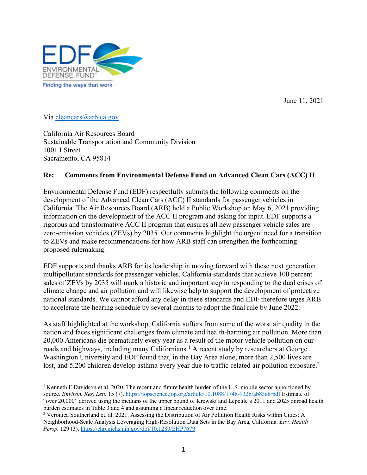

June 11, 2021

Via cleancars@arb.ca.gov

California Air Resources Board Sustainable Transportation and Community Division 1001 I Street Sacramento, CA 95814

### **Re: Comments from Environmental Defense Fund on Advanced Clean Cars (ACC) II**

Environmental Defense Fund (EDF) respectfully submits the following comments on the development of the Advanced Clean Cars (ACC) II standards for passenger vehicles in California. The Air Resources Board (ARB) held a Public Workshop on May 6, 2021 providing information on the development of the ACC II program and asking for input. EDF supports a rigorous and transformative ACC II program that ensures all new passenger vehicle sales are zero-emission vehicles (ZEVs) by 2035. Our comments highlight the urgent need for a transition to ZEVs and make recommendations for how ARB staff can strengthen the forthcoming proposed rulemaking.

EDF supports and thanks ARB for its leadership in moving forward with these next generation multipollutant standards for passenger vehicles. California standards that achieve 100 percent sales of ZEVs by 2035 will mark a historic and important step in responding to the dual crises of climate change and air pollution and will likewise help to support the development of protective national standards. We cannot afford any delay in these standards and EDF therefore urges ARB to accelerate the hearing schedule by several months to adopt the final rule by June 2022.

As staff highlighted at the workshop, California suffers from some of the worst air quality in the nation and faces significant challenges from climate and health-harming air pollution. More than 20,000 Americans die prematurely every year as a result of the motor vehicle pollution on our roads and highways, including many Californians.<sup>1</sup> A recent study by researchers at George Washington University and EDF found that, in the Bay Area alone, more than 2,500 lives are lost, and 5,200 children develop asthma every year due to traffic-related air pollution exposure.<sup>2</sup>

<sup>&</sup>lt;sup>1</sup> Kenneth F Davidson et al. 2020. The recent and future health burden of the U.S. mobile sector apportioned by source. *Environ. Res. Lett.* 15 (7). https://iopscience.iop.org/article/10.1088/1748-9326/ab83a8/pdf Estimate of "over 20,000" derived using the medians of the upper bound of Krewski and Lepeule's 2011 and 2025 onroad health burden estimates in Table 3 and 4 and assuming a linear reduction over time.

<sup>&</sup>lt;sup>2</sup> Veronica Southerland et. al. 2021. Assessing the Distribution of Air Pollution Health Risks within Cities: A Neighborhood-Scale Analysis Leveraging High-Resolution Data Sets in the Bay Area, California. *Env. Health Persp.* 129 (3). https://ehp.niehs.nih.gov/doi/10.1289/EHP7679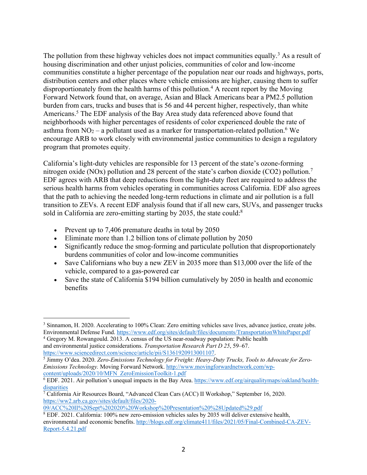The pollution from these highway vehicles does not impact communities equally.<sup>3</sup> As a result of housing discrimination and other unjust policies, communities of color and low-income communities constitute a higher percentage of the population near our roads and highways, ports, distribution centers and other places where vehicle emissions are higher, causing them to suffer disproportionately from the health harms of this pollution. <sup>4</sup> A recent report by the Moving Forward Network found that, on average, Asian and Black Americans bear a PM2.5 pollution burden from cars, trucks and buses that is 56 and 44 percent higher, respectively, than white Americans.5 The EDF analysis of the Bay Area study data referenced above found that neighborhoods with higher percentages of residents of color experienced double the rate of asthma from  $NO<sub>2</sub> - a$  pollutant used as a marker for transportation-related pollution.<sup>6</sup> We encourage ARB to work closely with environmental justice communities to design a regulatory program that promotes equity.

California's light-duty vehicles are responsible for 13 percent of the state's ozone-forming nitrogen oxide (NOx) pollution and 28 percent of the state's carbon dioxide (CO2) pollution.<sup>7</sup> EDF agrees with ARB that deep reductions from the light-duty fleet are required to address the serious health harms from vehicles operating in communities across California. EDF also agrees that the path to achieving the needed long-term reductions in climate and air pollution is a full transition to ZEVs. A recent EDF analysis found that if all new cars, SUVs, and passenger trucks sold in California are zero-emitting starting by 2035, the state could:<sup>8</sup>

- Prevent up to 7,406 premature deaths in total by 2050
- Eliminate more than 1.2 billion tons of climate pollution by 2050
- Significantly reduce the smog-forming and particulate pollution that disproportionately burdens communities of color and low-income communities
- Save Californians who buy a new ZEV in 2035 more than \$13,000 over the life of the vehicle, compared to a gas-powered car
- Save the state of California \$194 billion cumulatively by 2050 in health and economic benefits

<sup>4</sup> Gregory M. Rowangould. 2013. A census of the US near-roadway population: Public health and environmental justice considerations. *Transportation Research Part D 25*, 59–67. https://www.sciencedirect.com/science/article/pii/S1361920913001107.

09/ACC%20II%20Sept%202020%20Workshop%20Presentation%20%28Updated%29.pdf

<sup>&</sup>lt;sup>3</sup> Sinnamon, H. 2020. Accelerating to 100% Clean: Zero emitting vehicles save lives, advance justice, create jobs. Environmental Defense Fund. https://www.edf.org/sites/default/files/documents/TransportationWhitePaper.pdf

<sup>5</sup> Jimmy O'dea. 2020. *Zero-Emissions Technology for Freight: Heavy-Duty Trucks, Tools to Advocate for Zero-Emissions Technology.* Moving Forward Network. http://www.movingforwardnetwork.com/wpcontent/uploads/2020/10/MFN\_ZeroEmissionToolkit-1.pdf

<sup>6</sup> EDF. 2021. Air pollution's unequal impacts in the Bay Area. https://www.edf.org/airqualitymaps/oakland/healthdisparities<br>7 California Air Resources Board, "Advanced Clean Cars (ACC) II Workshop," September 16, 2020.

https://ww2.arb.ca.gov/sites/default/files/2020-

<sup>8</sup> EDF. 2021. California: 100% new zero-emission vehicles sales by 2035 will deliver extensive health, environmental and economic benefits. http://blogs.edf.org/climate411/files/2021/05/Final-Combined-CA-ZEV-Report-5.4.21.pdf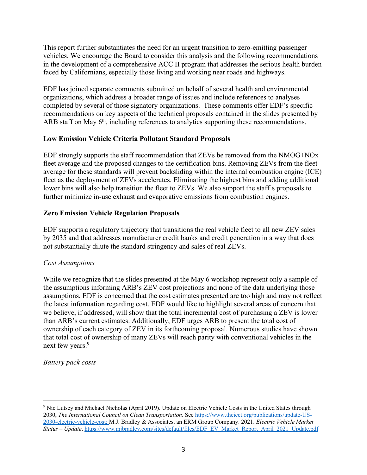This report further substantiates the need for an urgent transition to zero-emitting passenger vehicles. We encourage the Board to consider this analysis and the following recommendations in the development of a comprehensive ACC II program that addresses the serious health burden faced by Californians, especially those living and working near roads and highways.

EDF has joined separate comments submitted on behalf of several health and environmental organizations, which address a broader range of issues and include references to analyses completed by several of those signatory organizations. These comments offer EDF's specific recommendations on key aspects of the technical proposals contained in the slides presented by ARB staff on May  $6<sup>th</sup>$ , including references to analytics supporting these recommendations.

### **Low Emission Vehicle Criteria Pollutant Standard Proposals**

EDF strongly supports the staff recommendation that ZEVs be removed from the NMOG+NOx fleet average and the proposed changes to the certification bins. Removing ZEVs from the fleet average for these standards will prevent backsliding within the internal combustion engine (ICE) fleet as the deployment of ZEVs accelerates. Eliminating the highest bins and adding additional lower bins will also help transition the fleet to ZEVs. We also support the staff's proposals to further minimize in-use exhaust and evaporative emissions from combustion engines.

## **Zero Emission Vehicle Regulation Proposals**

EDF supports a regulatory trajectory that transitions the real vehicle fleet to all new ZEV sales by 2035 and that addresses manufacturer credit banks and credit generation in a way that does not substantially dilute the standard stringency and sales of real ZEVs.

### *Cost Assumptions*

While we recognize that the slides presented at the May 6 workshop represent only a sample of the assumptions informing ARB's ZEV cost projections and none of the data underlying those assumptions, EDF is concerned that the cost estimates presented are too high and may not reflect the latest information regarding cost. EDF would like to highlight several areas of concern that we believe, if addressed, will show that the total incremental cost of purchasing a ZEV is lower than ARB's current estimates. Additionally, EDF urges ARB to present the total cost of ownership of each category of ZEV in its forthcoming proposal. Numerous studies have shown that total cost of ownership of many ZEVs will reach parity with conventional vehicles in the next few years.<sup>9</sup>

### *Battery pack costs*

<sup>9</sup> Nic Lutsey and Michael Nicholas (April 2019). Update on Electric Vehicle Costs in the United States through 2030, *The International Council on Clean Transportation*. See https://www.theicct.org/publications/update-US-2030-electric-vehicle-cost; M.J. Bradley & Associates, an ERM Group Company. 2021. *Electric Vehicle Market Status – Update*. https://www.mjbradley.com/sites/default/files/EDF\_EV\_Market\_Report\_April\_2021\_Update.pdf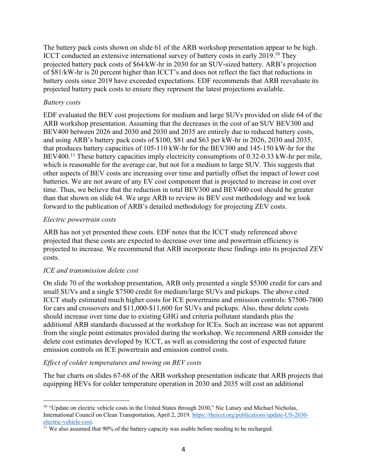The battery pack costs shown on slide 61 of the ARB workshop presentation appear to be high. ICCT conducted an extensive international survey of battery costs in early 2019.10 They projected battery pack costs of \$64/kW-hr in 2030 for an SUV-sized battery. ARB's projection of \$81/kW-hr is 20 percent higher than ICCT's and does not reflect the fact that reductions in battery costs since 2019 have exceeded expectations. EDF recommends that ARB reevaluate its projected battery pack costs to ensure they represent the latest projections available.

#### *Battery costs*

EDF evaluated the BEV cost projections for medium and large SUVs provided on slide 64 of the ARB workshop presentation. Assuming that the decreases in the cost of an SUV BEV300 and BEV400 between 2026 and 2030 and 2030 and 2035 are entirely due to reduced battery costs, and using ARB's battery pack costs of \$100, \$81 and \$63 per kW-hr in 2026, 2030 and 2035, that produces battery capacities of 105-110 kW-hr for the BEV300 and 145-150 kW-hr for the BEV400.<sup>11</sup> These battery capacities imply electricity consumptions of 0.32-0.33 kW-hr per mile, which is reasonable for the average car, but not for a medium to large SUV. This suggests that other aspects of BEV costs are increasing over time and partially offset the impact of lower cost batteries. We are not aware of any EV cost component that is projected to increase in cost over time. Thus, we believe that the reduction in total BEV300 and BEV400 cost should be greater than that shown on slide 64. We urge ARB to review its BEV cost methodology and we look forward to the publication of ARB's detailed methodology for projecting ZEV costs.

#### *Electric powertrain costs*

ARB has not yet presented these costs. EDF notes that the ICCT study referenced above projected that these costs are expected to decrease over time and powertrain efficiency is projected to increase. We recommend that ARB incorporate these findings into its projected ZEV costs.

### *ICE and transmission delete cost*

On slide 70 of the workshop presentation, ARB only presented a single \$5300 credit for cars and small SUVs and a single \$7500 credit for medium/large SUVs and pickups. The above cited ICCT study estimated much higher costs for ICE powertrains and emission controls: \$7500-7800 for cars and crossovers and \$11,000-\$11,600 for SUVs and pickups. Also, these delete costs should increase over time due to existing GHG and criteria pollutant standards plus the additional ARB standards discussed at the workshop for ICEs. Such an increase was not apparent from the single point estimates provided during the workshop. We recommend ARB consider the delete cost estimates developed by ICCT, as well as considering the cost of expected future emission controls on ICE powertrain and emission control costs.

### *Effect of colder temperatures and towing on BEV costs*

The bar charts on slides 67-68 of the ARB workshop presentation indicate that ARB projects that equipping BEVs for colder temperature operation in 2030 and 2035 will cost an additional

<sup>&</sup>lt;sup>10</sup> "Update on electric vehicle costs in the United States through 2030," Nic Lutsey and Michael Nicholas, International Council on Clean Transportation, April 2, 2019. https://theicct.org/publications/update-US-2030 electric-vehicle-cost.<br><sup>11</sup> We also assumed that 90% of the battery capacity was usable before needing to be recharged.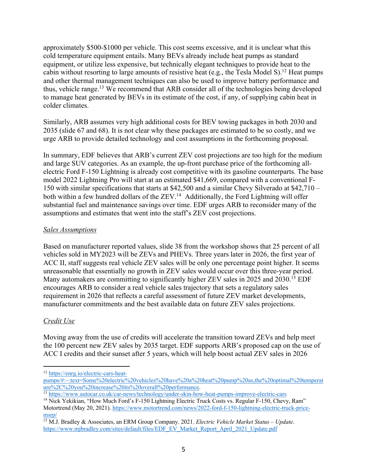approximately \$500-\$1000 per vehicle. This cost seems excessive, and it is unclear what this cold temperature equipment entails. Many BEVs already include heat pumps as standard equipment, or utilize less expensive, but technically elegant techniques to provide heat to the cabin without resorting to large amounts of resistive heat (e.g., the Tesla Model S).<sup>12</sup> Heat pumps and other thermal management techniques can also be used to improve battery performance and thus, vehicle range.<sup>13</sup> We recommend that ARB consider all of the technologies being developed to manage heat generated by BEVs in its estimate of the cost, if any, of supplying cabin heat in colder climates.

Similarly, ARB assumes very high additional costs for BEV towing packages in both 2030 and 2035 (slide 67 and 68). It is not clear why these packages are estimated to be so costly, and we urge ARB to provide detailed technology and cost assumptions in the forthcoming proposal.

In summary, EDF believes that ARB's current ZEV cost projections are too high for the medium and large SUV categories. As an example, the up-front purchase price of the forthcoming allelectric Ford F-150 Lightning is already cost competitive with its gasoline counterparts. The base model 2022 Lightning Pro will start at an estimated \$41,669, compared with a conventional F-150 with similar specifications that starts at \$42,500 and a similar Chevy Silverado at \$42,710 – both within a few hundred dollars of the ZEV.<sup>14</sup> Additionally, the Ford Lightning will offer substantial fuel and maintenance savings over time. EDF urges ARB to reconsider many of the assumptions and estimates that went into the staff's ZEV cost projections.

### *Sales Assumptions*

Based on manufacturer reported values, slide 38 from the workshop shows that 25 percent of all vehicles sold in MY2023 will be ZEVs and PHEVs. Three years later in 2026, the first year of ACC II, staff suggests real vehicle ZEV sales will be only one percentage point higher. It seems unreasonable that essentially no growth in ZEV sales would occur over this three-year period. Many automakers are committing to significantly higher ZEV sales in 2025 and 2030.<sup>15</sup> EDF encourages ARB to consider a real vehicle sales trajectory that sets a regulatory sales requirement in 2026 that reflects a careful assessment of future ZEV market developments, manufacturer commitments and the best available data on future ZEV sales projections.

# *Credit Use*

Moving away from the use of credits will accelerate the transition toward ZEVs and help meet the 100 percent new ZEV sales by 2035 target. EDF supports ARB's proposed cap on the use of ACC I credits and their sunset after 5 years, which will help boost actual ZEV sales in 2026

<sup>12</sup> https://enrg.io/electric-cars-heat-

pumps/#:~:text=Some%20electric%20vehicles%20have%20a%20heat%20pump%20as,the%20optimal%20temperat<br>ure%2C%20you%20increase%20its%20overall%20performance.

<sup>13</sup> https://www.autocar.co.uk/car-news/technology/under-skin-how-heat-pumps-improve-electric-cars <sup>14</sup> Nick Yekikian, "How Much Ford's F-150 Lightning Electric Truck Costs vs. Regular F-150, Chevy, Ram"

Motortrend (May 20, 2021). https://www.motortrend.com/news/2022-ford-f-150-lightning-electric-truck-pricemsrp/

<sup>15</sup> M.J. Bradley & Associates, an ERM Group Company. 2021. *Electric Vehicle Market Status – Update*. https://www.mjbradley.com/sites/default/files/EDF\_EV\_Market\_Report\_April\_2021\_Update.pdf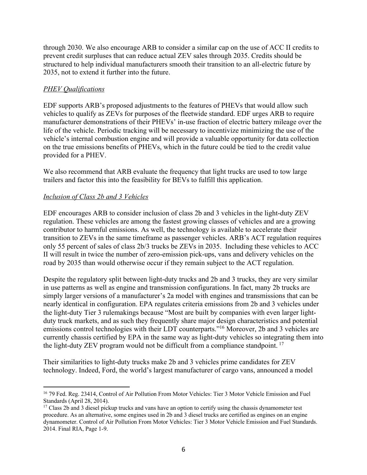through 2030. We also encourage ARB to consider a similar cap on the use of ACC II credits to prevent credit surpluses that can reduce actual ZEV sales through 2035. Credits should be structured to help individual manufacturers smooth their transition to an all-electric future by 2035, not to extend it further into the future.

## *PHEV Qualifications*

EDF supports ARB's proposed adjustments to the features of PHEVs that would allow such vehicles to qualify as ZEVs for purposes of the fleetwide standard. EDF urges ARB to require manufacturer demonstrations of their PHEVs' in-use fraction of electric battery mileage over the life of the vehicle. Periodic tracking will be necessary to incentivize minimizing the use of the vehicle's internal combustion engine and will provide a valuable opportunity for data collection on the true emissions benefits of PHEVs, which in the future could be tied to the credit value provided for a PHEV.

We also recommend that ARB evaluate the frequency that light trucks are used to tow large trailers and factor this into the feasibility for BEVs to fulfill this application.

### *Inclusion of Class 2b and 3 Vehicles*

EDF encourages ARB to consider inclusion of class 2b and 3 vehicles in the light-duty ZEV regulation. These vehicles are among the fastest growing classes of vehicles and are a growing contributor to harmful emissions. As well, the technology is available to accelerate their transition to ZEVs in the same timeframe as passenger vehicles. ARB's ACT regulation requires only 55 percent of sales of class 2b/3 trucks be ZEVs in 2035. Including these vehicles to ACC II will result in twice the number of zero-emission pick-ups, vans and delivery vehicles on the road by 2035 than would otherwise occur if they remain subject to the ACT regulation.

Despite the regulatory split between light-duty trucks and 2b and 3 trucks, they are very similar in use patterns as well as engine and transmission configurations. In fact, many 2b trucks are simply larger versions of a manufacturer's 2a model with engines and transmissions that can be nearly identical in configuration. EPA regulates criteria emissions from 2b and 3 vehicles under the light-duty Tier 3 rulemakings because "Most are built by companies with even larger lightduty truck markets, and as such they frequently share major design characteristics and potential emissions control technologies with their LDT counterparts."16 Moreover, 2b and 3 vehicles are currently chassis certified by EPA in the same way as light-duty vehicles so integrating them into the light-duty ZEV program would not be difficult from a compliance standpoint. <sup>17</sup>

Their similarities to light-duty trucks make 2b and 3 vehicles prime candidates for ZEV technology. Indeed, Ford, the world's largest manufacturer of cargo vans, announced a model

<sup>16</sup> 79 Fed. Reg. 23414, Control of Air Pollution From Motor Vehicles: Tier 3 Motor Vehicle Emission and Fuel Standards (April 28, 2014).

<sup>&</sup>lt;sup>17</sup> Class 2b and 3 diesel pickup trucks and vans have an option to certify using the chassis dynamometer test procedure. As an alternative, some engines used in 2b and 3 diesel trucks are certified as engines on an engine dynamometer. Control of Air Pollution From Motor Vehicles: Tier 3 Motor Vehicle Emission and Fuel Standards. 2014. Final RIA, Page 1-9.